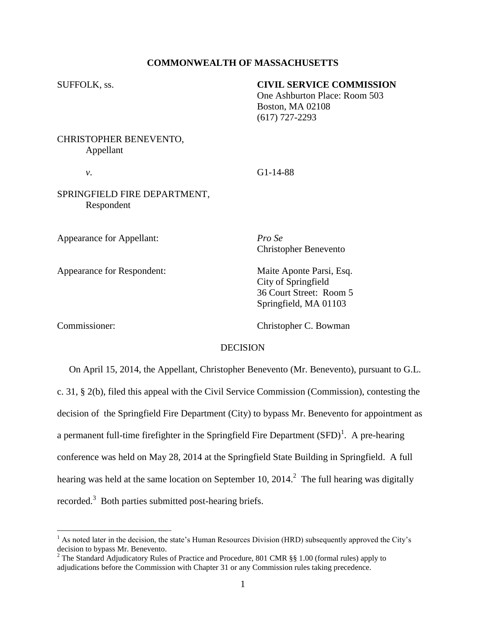## **COMMONWEALTH OF MASSACHUSETTS**

## SUFFOLK, ss. **CIVIL SERVICE COMMISSION**

One Ashburton Place: Room 503 Boston, MA 02108 (617) 727-2293

# CHRISTOPHER BENEVENTO, Appellant

## *v*. G1-14-88

## SPRINGFIELD FIRE DEPARTMENT, Respondent

Appearance for Appellant: *Pro Se*

Appearance for Respondent: Maite Aponte Parsi, Esq.

Christopher Benevento

City of Springfield 36 Court Street: Room 5 Springfield, MA 01103

 $\overline{a}$ 

Commissioner: Christopher C. Bowman

#### DECISION

 On April 15, 2014, the Appellant, Christopher Benevento (Mr. Benevento), pursuant to G.L. c. 31, § 2(b), filed this appeal with the Civil Service Commission (Commission), contesting the decision of the Springfield Fire Department (City) to bypass Mr. Benevento for appointment as a permanent full-time firefighter in the Springfield Fire Department  $(SFD)^{1}$ . A pre-hearing conference was held on May 28, 2014 at the Springfield State Building in Springfield. A full hearing was held at the same location on September 10, 2014.<sup>2</sup> The full hearing was digitally recorded.<sup>3</sup> Both parties submitted post-hearing briefs.

 $<sup>1</sup>$  As noted later in the decision, the state's Human Resources Division (HRD) subsequently approved the City's</sup> decision to bypass Mr. Benevento.

<sup>&</sup>lt;sup>2</sup> The Standard Adjudicatory Rules of Practice and Procedure, 801 CMR §§ 1.00 (formal rules) apply to adjudications before the Commission with Chapter 31 or any Commission rules taking precedence.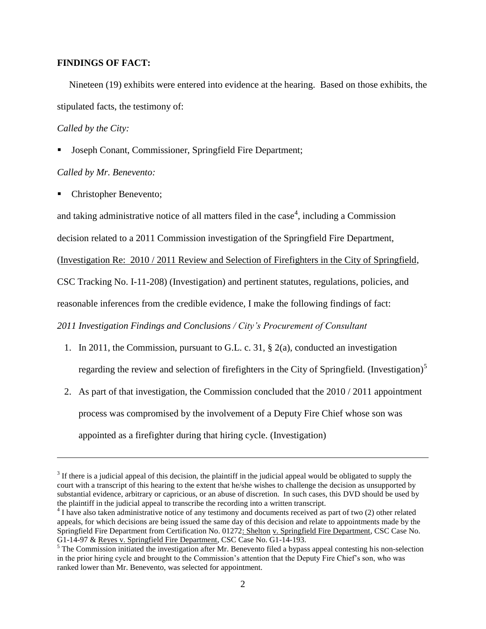### **FINDINGS OF FACT:**

Nineteen (19) exhibits were entered into evidence at the hearing. Based on those exhibits, the stipulated facts, the testimony of:

### *Called by the City:*

 $\overline{a}$ 

Joseph Conant, Commissioner, Springfield Fire Department;

## *Called by Mr. Benevento:*

Christopher Benevento;

and taking administrative notice of all matters filed in the case<sup>4</sup>, including a Commission

decision related to a 2011 Commission investigation of the Springfield Fire Department,

(Investigation Re: 2010 / 2011 Review and Selection of Firefighters in the City of Springfield,

CSC Tracking No. I-11-208) (Investigation) and pertinent statutes, regulations, policies, and

reasonable inferences from the credible evidence, I make the following findings of fact:

*2011 Investigation Findings and Conclusions / City's Procurement of Consultant* 

- 1. In 2011, the Commission, pursuant to G.L. c. 31, § 2(a), conducted an investigation regarding the review and selection of firefighters in the City of Springfield. (Investigation)<sup>5</sup>
- 2. As part of that investigation, the Commission concluded that the 2010 / 2011 appointment process was compromised by the involvement of a Deputy Fire Chief whose son was appointed as a firefighter during that hiring cycle. (Investigation)

 $3$  If there is a judicial appeal of this decision, the plaintiff in the judicial appeal would be obligated to supply the court with a transcript of this hearing to the extent that he/she wishes to challenge the decision as unsupported by substantial evidence, arbitrary or capricious, or an abuse of discretion. In such cases, this DVD should be used by the plaintiff in the judicial appeal to transcribe the recording into a written transcript.

<sup>&</sup>lt;sup>4</sup> I have also taken administrative notice of any testimony and documents received as part of two (2) other related appeals, for which decisions are being issued the same day of this decision and relate to appointments made by the Springfield Fire Department from Certification No. 01272: Shelton v. Springfield Fire Department, CSC Case No. G1-14-97 & Reyes v. Springfield Fire Department, CSC Case No. G1-14-193.

<sup>&</sup>lt;sup>5</sup> The Commission initiated the investigation after Mr. Benevento filed a bypass appeal contesting his non-selection in the prior hiring cycle and brought to the Commission's attention that the Deputy Fire Chief's son, who was ranked lower than Mr. Benevento, was selected for appointment.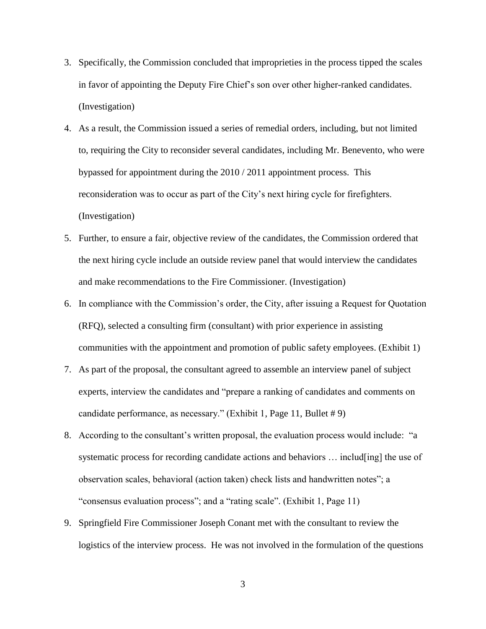- 3. Specifically, the Commission concluded that improprieties in the process tipped the scales in favor of appointing the Deputy Fire Chief's son over other higher-ranked candidates. (Investigation)
- 4. As a result, the Commission issued a series of remedial orders, including, but not limited to, requiring the City to reconsider several candidates, including Mr. Benevento, who were bypassed for appointment during the 2010 / 2011 appointment process. This reconsideration was to occur as part of the City's next hiring cycle for firefighters. (Investigation)
- 5. Further, to ensure a fair, objective review of the candidates, the Commission ordered that the next hiring cycle include an outside review panel that would interview the candidates and make recommendations to the Fire Commissioner. (Investigation)
- 6. In compliance with the Commission's order, the City, after issuing a Request for Quotation (RFQ), selected a consulting firm (consultant) with prior experience in assisting communities with the appointment and promotion of public safety employees. (Exhibit 1)
- 7. As part of the proposal, the consultant agreed to assemble an interview panel of subject experts, interview the candidates and "prepare a ranking of candidates and comments on candidate performance, as necessary." (Exhibit 1, Page 11, Bullet # 9)
- 8. According to the consultant's written proposal, the evaluation process would include: "a systematic process for recording candidate actions and behaviors ... includ[ing] the use of observation scales, behavioral (action taken) check lists and handwritten notes"; a "consensus evaluation process"; and a "rating scale". (Exhibit 1, Page 11)
- 9. Springfield Fire Commissioner Joseph Conant met with the consultant to review the logistics of the interview process. He was not involved in the formulation of the questions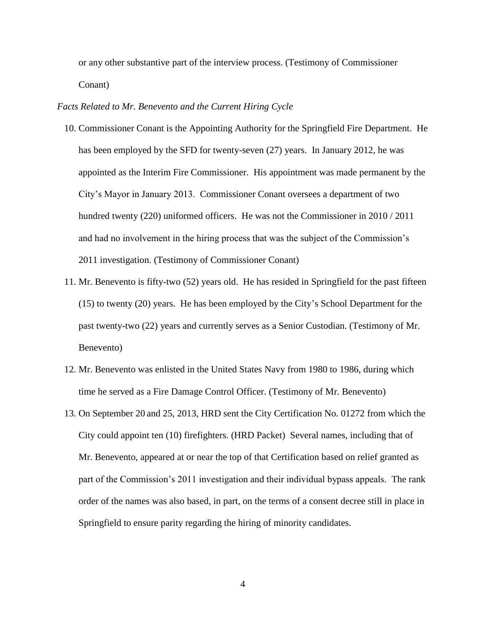or any other substantive part of the interview process. (Testimony of Commissioner Conant)

### *Facts Related to Mr. Benevento and the Current Hiring Cycle*

- 10. Commissioner Conant is the Appointing Authority for the Springfield Fire Department. He has been employed by the SFD for twenty-seven (27) years. In January 2012, he was appointed as the Interim Fire Commissioner. His appointment was made permanent by the City's Mayor in January 2013. Commissioner Conant oversees a department of two hundred twenty (220) uniformed officers. He was not the Commissioner in 2010 / 2011 and had no involvement in the hiring process that was the subject of the Commission's 2011 investigation. (Testimony of Commissioner Conant)
- 11. Mr. Benevento is fifty-two (52) years old. He has resided in Springfield for the past fifteen (15) to twenty (20) years. He has been employed by the City's School Department for the past twenty-two (22) years and currently serves as a Senior Custodian. (Testimony of Mr. Benevento)
- 12. Mr. Benevento was enlisted in the United States Navy from 1980 to 1986, during which time he served as a Fire Damage Control Officer. (Testimony of Mr. Benevento)
- 13. On September 20 and 25, 2013, HRD sent the City Certification No. 01272 from which the City could appoint ten (10) firefighters. (HRD Packet) Several names, including that of Mr. Benevento, appeared at or near the top of that Certification based on relief granted as part of the Commission's 2011 investigation and their individual bypass appeals. The rank order of the names was also based, in part, on the terms of a consent decree still in place in Springfield to ensure parity regarding the hiring of minority candidates.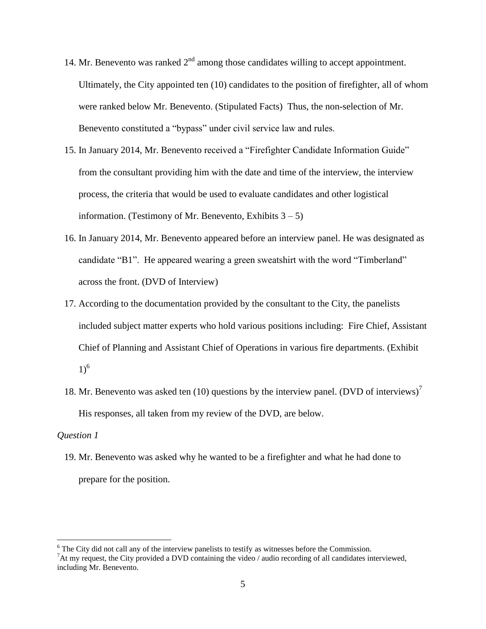- 14. Mr. Benevento was ranked  $2<sup>nd</sup>$  among those candidates willing to accept appointment. Ultimately, the City appointed ten (10) candidates to the position of firefighter, all of whom were ranked below Mr. Benevento. (Stipulated Facts) Thus, the non-selection of Mr. Benevento constituted a "bypass" under civil service law and rules.
- 15. In January 2014, Mr. Benevento received a "Firefighter Candidate Information Guide" from the consultant providing him with the date and time of the interview, the interview process, the criteria that would be used to evaluate candidates and other logistical information. (Testimony of Mr. Benevento, Exhibits  $3 - 5$ )
- 16. In January 2014, Mr. Benevento appeared before an interview panel. He was designated as candidate "B1". He appeared wearing a green sweatshirt with the word "Timberland" across the front. (DVD of Interview)
- 17. According to the documentation provided by the consultant to the City, the panelists included subject matter experts who hold various positions including: Fire Chief, Assistant Chief of Planning and Assistant Chief of Operations in various fire departments. (Exhibit  $1)^6$
- 18. Mr. Benevento was asked ten (10) questions by the interview panel. (DVD of interviews)<sup>7</sup> His responses, all taken from my review of the DVD, are below.

#### *Question 1*

 $\overline{a}$ 

19. Mr. Benevento was asked why he wanted to be a firefighter and what he had done to prepare for the position.

<sup>&</sup>lt;sup>6</sup> The City did not call any of the interview panelists to testify as witnesses before the Commission.

 ${}^{7}$ At my request, the City provided a DVD containing the video / audio recording of all candidates interviewed, including Mr. Benevento.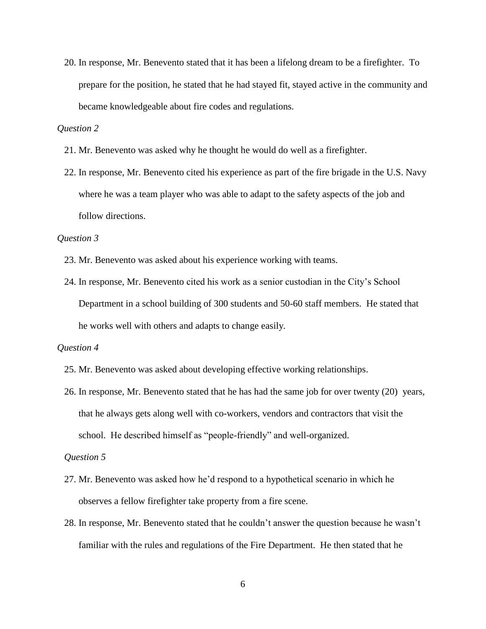20. In response, Mr. Benevento stated that it has been a lifelong dream to be a firefighter. To prepare for the position, he stated that he had stayed fit, stayed active in the community and became knowledgeable about fire codes and regulations.

## *Question 2*

- 21. Mr. Benevento was asked why he thought he would do well as a firefighter.
- 22. In response, Mr. Benevento cited his experience as part of the fire brigade in the U.S. Navy where he was a team player who was able to adapt to the safety aspects of the job and follow directions.

## *Question 3*

- 23. Mr. Benevento was asked about his experience working with teams.
- 24. In response, Mr. Benevento cited his work as a senior custodian in the City's School Department in a school building of 300 students and 50-60 staff members. He stated that he works well with others and adapts to change easily.

#### *Question 4*

- 25. Mr. Benevento was asked about developing effective working relationships.
- 26. In response, Mr. Benevento stated that he has had the same job for over twenty (20) years, that he always gets along well with co-workers, vendors and contractors that visit the school. He described himself as "people-friendly" and well-organized.

#### *Question 5*

- 27. Mr. Benevento was asked how he'd respond to a hypothetical scenario in which he observes a fellow firefighter take property from a fire scene.
- 28. In response, Mr. Benevento stated that he couldn't answer the question because he wasn't familiar with the rules and regulations of the Fire Department. He then stated that he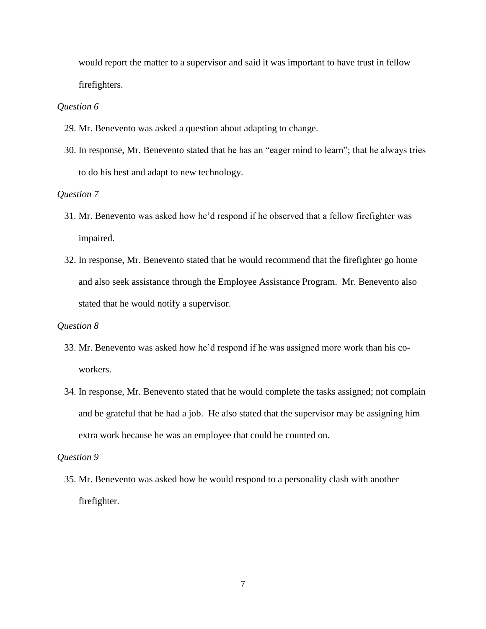would report the matter to a supervisor and said it was important to have trust in fellow firefighters.

#### *Question 6*

- 29. Mr. Benevento was asked a question about adapting to change.
- 30. In response, Mr. Benevento stated that he has an "eager mind to learn"; that he always tries to do his best and adapt to new technology.

## *Question 7*

- 31. Mr. Benevento was asked how he'd respond if he observed that a fellow firefighter was impaired.
- 32. In response, Mr. Benevento stated that he would recommend that the firefighter go home and also seek assistance through the Employee Assistance Program. Mr. Benevento also stated that he would notify a supervisor.

#### *Question 8*

- 33. Mr. Benevento was asked how he'd respond if he was assigned more work than his coworkers.
- 34. In response, Mr. Benevento stated that he would complete the tasks assigned; not complain and be grateful that he had a job. He also stated that the supervisor may be assigning him extra work because he was an employee that could be counted on.

## *Question 9*

35. Mr. Benevento was asked how he would respond to a personality clash with another firefighter.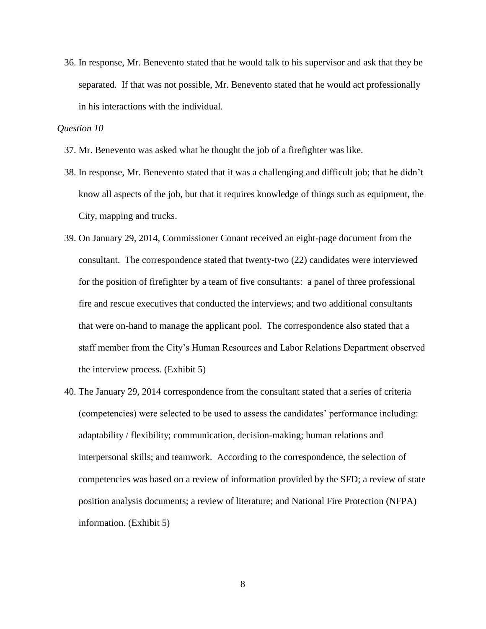36. In response, Mr. Benevento stated that he would talk to his supervisor and ask that they be separated. If that was not possible, Mr. Benevento stated that he would act professionally in his interactions with the individual.

## *Question 10*

- 37. Mr. Benevento was asked what he thought the job of a firefighter was like.
- 38. In response, Mr. Benevento stated that it was a challenging and difficult job; that he didn't know all aspects of the job, but that it requires knowledge of things such as equipment, the City, mapping and trucks.
- 39. On January 29, 2014, Commissioner Conant received an eight-page document from the consultant. The correspondence stated that twenty-two (22) candidates were interviewed for the position of firefighter by a team of five consultants: a panel of three professional fire and rescue executives that conducted the interviews; and two additional consultants that were on-hand to manage the applicant pool. The correspondence also stated that a staff member from the City's Human Resources and Labor Relations Department observed the interview process. (Exhibit 5)
- 40. The January 29, 2014 correspondence from the consultant stated that a series of criteria (competencies) were selected to be used to assess the candidates' performance including: adaptability / flexibility; communication, decision-making; human relations and interpersonal skills; and teamwork. According to the correspondence, the selection of competencies was based on a review of information provided by the SFD; a review of state position analysis documents; a review of literature; and National Fire Protection (NFPA) information. (Exhibit 5)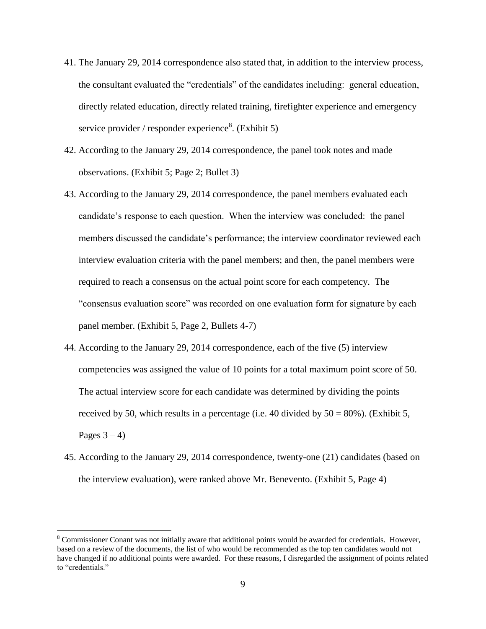- 41. The January 29, 2014 correspondence also stated that, in addition to the interview process, the consultant evaluated the "credentials" of the candidates including: general education, directly related education, directly related training, firefighter experience and emergency service provider / responder experience<sup>8</sup>. (Exhibit 5)
- 42. According to the January 29, 2014 correspondence, the panel took notes and made observations. (Exhibit 5; Page 2; Bullet 3)
- 43. According to the January 29, 2014 correspondence, the panel members evaluated each candidate's response to each question. When the interview was concluded: the panel members discussed the candidate's performance; the interview coordinator reviewed each interview evaluation criteria with the panel members; and then, the panel members were required to reach a consensus on the actual point score for each competency. The "consensus evaluation score" was recorded on one evaluation form for signature by each panel member. (Exhibit 5, Page 2, Bullets 4-7)
- 44. According to the January 29, 2014 correspondence, each of the five (5) interview competencies was assigned the value of 10 points for a total maximum point score of 50. The actual interview score for each candidate was determined by dividing the points received by 50, which results in a percentage (i.e. 40 divided by  $50 = 80\%$ ). (Exhibit 5, Pages  $3 - 4$ )
- 45. According to the January 29, 2014 correspondence, twenty-one (21) candidates (based on the interview evaluation), were ranked above Mr. Benevento. (Exhibit 5, Page 4)

 $\overline{a}$ 

<sup>8</sup> Commissioner Conant was not initially aware that additional points would be awarded for credentials. However, based on a review of the documents, the list of who would be recommended as the top ten candidates would not have changed if no additional points were awarded. For these reasons, I disregarded the assignment of points related to "credentials."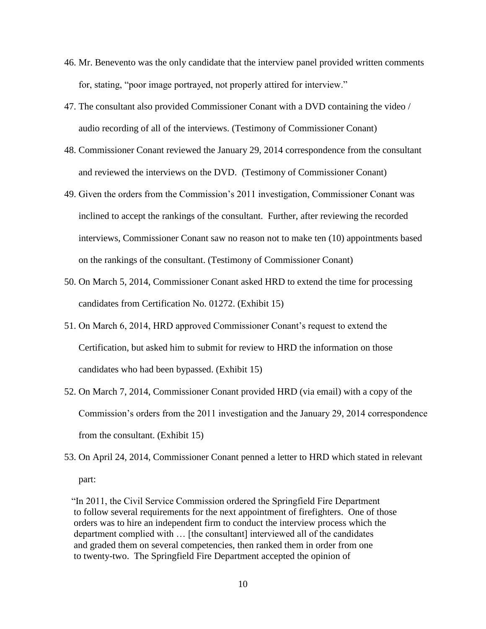- 46. Mr. Benevento was the only candidate that the interview panel provided written comments for, stating, "poor image portrayed, not properly attired for interview."
- 47. The consultant also provided Commissioner Conant with a DVD containing the video / audio recording of all of the interviews. (Testimony of Commissioner Conant)
- 48. Commissioner Conant reviewed the January 29, 2014 correspondence from the consultant and reviewed the interviews on the DVD. (Testimony of Commissioner Conant)
- 49. Given the orders from the Commission's 2011 investigation, Commissioner Conant was inclined to accept the rankings of the consultant. Further, after reviewing the recorded interviews, Commissioner Conant saw no reason not to make ten (10) appointments based on the rankings of the consultant. (Testimony of Commissioner Conant)
- 50. On March 5, 2014, Commissioner Conant asked HRD to extend the time for processing candidates from Certification No. 01272. (Exhibit 15)
- 51. On March 6, 2014, HRD approved Commissioner Conant's request to extend the Certification, but asked him to submit for review to HRD the information on those candidates who had been bypassed. (Exhibit 15)
- 52. On March 7, 2014, Commissioner Conant provided HRD (via email) with a copy of the Commission's orders from the 2011 investigation and the January 29, 2014 correspondence from the consultant. (Exhibit 15)
- 53. On April 24, 2014, Commissioner Conant penned a letter to HRD which stated in relevant part:

"In 2011, the Civil Service Commission ordered the Springfield Fire Department to follow several requirements for the next appointment of firefighters. One of those orders was to hire an independent firm to conduct the interview process which the department complied with … [the consultant] interviewed all of the candidates and graded them on several competencies, then ranked them in order from one to twenty-two. The Springfield Fire Department accepted the opinion of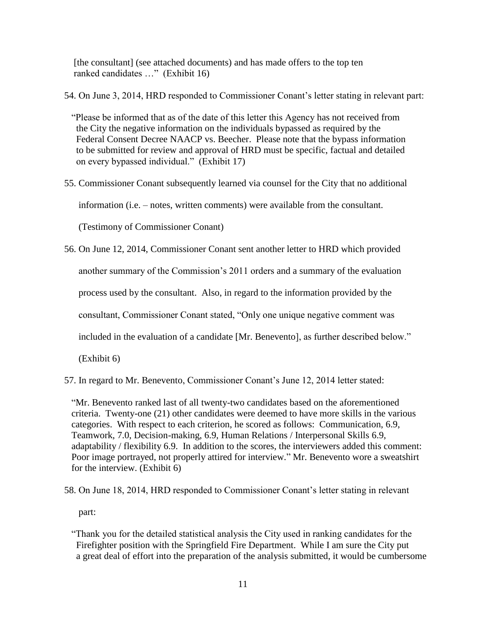[the consultant] (see attached documents) and has made offers to the top ten ranked candidates …" (Exhibit 16)

54. On June 3, 2014, HRD responded to Commissioner Conant's letter stating in relevant part:

"Please be informed that as of the date of this letter this Agency has not received from the City the negative information on the individuals bypassed as required by the Federal Consent Decree NAACP vs. Beecher. Please note that the bypass information to be submitted for review and approval of HRD must be specific, factual and detailed on every bypassed individual." (Exhibit 17)

55. Commissioner Conant subsequently learned via counsel for the City that no additional

information (i.e. – notes, written comments) were available from the consultant.

(Testimony of Commissioner Conant)

- 56. On June 12, 2014, Commissioner Conant sent another letter to HRD which provided another summary of the Commission's 2011 orders and a summary of the evaluation process used by the consultant. Also, in regard to the information provided by the consultant, Commissioner Conant stated, "Only one unique negative comment was included in the evaluation of a candidate [Mr. Benevento], as further described below." (Exhibit 6)
- 57. In regard to Mr. Benevento, Commissioner Conant's June 12, 2014 letter stated:

"Mr. Benevento ranked last of all twenty-two candidates based on the aforementioned criteria. Twenty-one (21) other candidates were deemed to have more skills in the various categories. With respect to each criterion, he scored as follows: Communication, 6.9, Teamwork, 7.0, Decision-making, 6.9, Human Relations / Interpersonal Skills 6.9, adaptability / flexibility 6.9. In addition to the scores, the interviewers added this comment: Poor image portrayed, not properly attired for interview." Mr. Benevento wore a sweatshirt for the interview. (Exhibit 6)

58. On June 18, 2014, HRD responded to Commissioner Conant's letter stating in relevant

part:

"Thank you for the detailed statistical analysis the City used in ranking candidates for the Firefighter position with the Springfield Fire Department. While I am sure the City put a great deal of effort into the preparation of the analysis submitted, it would be cumbersome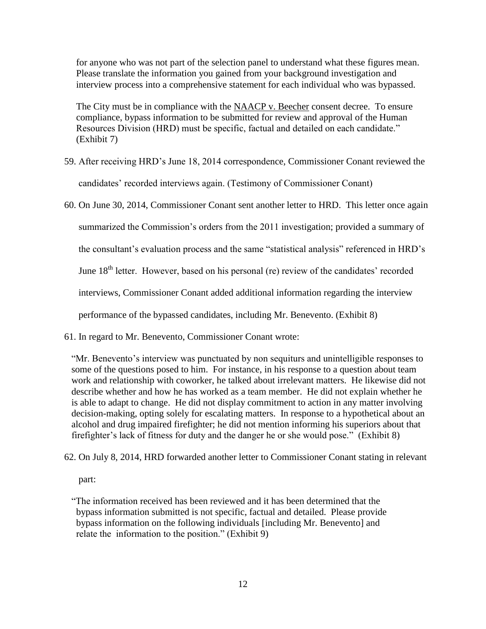for anyone who was not part of the selection panel to understand what these figures mean. Please translate the information you gained from your background investigation and interview process into a comprehensive statement for each individual who was bypassed.

 The City must be in compliance with the NAACP v. Beecher consent decree. To ensure compliance, bypass information to be submitted for review and approval of the Human Resources Division (HRD) must be specific, factual and detailed on each candidate." (Exhibit 7)

- 59. After receiving HRD's June 18, 2014 correspondence, Commissioner Conant reviewed the candidates' recorded interviews again. (Testimony of Commissioner Conant)
- 60. On June 30, 2014, Commissioner Conant sent another letter to HRD. This letter once again summarized the Commission's orders from the 2011 investigation; provided a summary of the consultant's evaluation process and the same "statistical analysis" referenced in HRD's June 18<sup>th</sup> letter. However, based on his personal (re) review of the candidates' recorded interviews, Commissioner Conant added additional information regarding the interview performance of the bypassed candidates, including Mr. Benevento. (Exhibit 8)
- 61. In regard to Mr. Benevento, Commissioner Conant wrote:

"Mr. Benevento's interview was punctuated by non sequiturs and unintelligible responses to some of the questions posed to him. For instance, in his response to a question about team work and relationship with coworker, he talked about irrelevant matters. He likewise did not describe whether and how he has worked as a team member. He did not explain whether he is able to adapt to change. He did not display commitment to action in any matter involving decision-making, opting solely for escalating matters. In response to a hypothetical about an alcohol and drug impaired firefighter; he did not mention informing his superiors about that firefighter's lack of fitness for duty and the danger he or she would pose." (Exhibit 8)

62. On July 8, 2014, HRD forwarded another letter to Commissioner Conant stating in relevant

part:

"The information received has been reviewed and it has been determined that the bypass information submitted is not specific, factual and detailed. Please provide bypass information on the following individuals [including Mr. Benevento] and relate the information to the position." (Exhibit 9)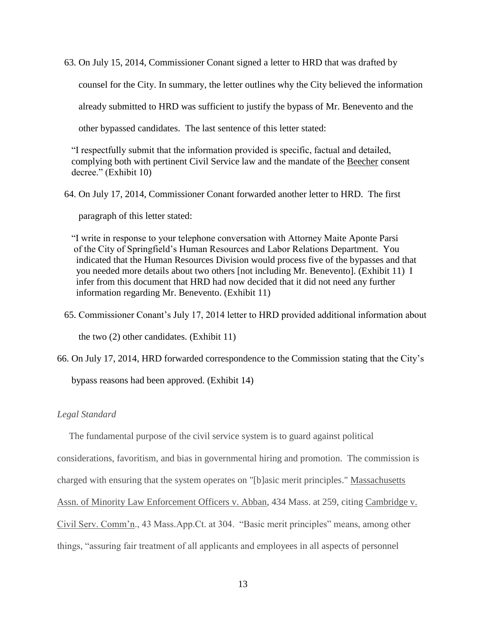63. On July 15, 2014, Commissioner Conant signed a letter to HRD that was drafted by

counsel for the City. In summary, the letter outlines why the City believed the information

already submitted to HRD was sufficient to justify the bypass of Mr. Benevento and the

other bypassed candidates. The last sentence of this letter stated:

"I respectfully submit that the information provided is specific, factual and detailed, complying both with pertinent Civil Service law and the mandate of the Beecher consent decree." (Exhibit 10)

64. On July 17, 2014, Commissioner Conant forwarded another letter to HRD. The first

paragraph of this letter stated:

"I write in response to your telephone conversation with Attorney Maite Aponte Parsi of the City of Springfield's Human Resources and Labor Relations Department. You indicated that the Human Resources Division would process five of the bypasses and that you needed more details about two others [not including Mr. Benevento]. (Exhibit 11) I infer from this document that HRD had now decided that it did not need any further information regarding Mr. Benevento. (Exhibit 11)

65. Commissioner Conant's July 17, 2014 letter to HRD provided additional information about the two (2) other candidates. (Exhibit 11)

66. On July 17, 2014, HRD forwarded correspondence to the Commission stating that the City's

bypass reasons had been approved. (Exhibit 14)

## *Legal Standard*

The fundamental purpose of the civil service system is to guard against political

considerations, favoritism, and bias in governmental hiring and promotion. The commission is

charged with ensuring that the system operates on "[b]asic merit principles." Massachusetts

Assn. of Minority Law Enforcement Officers v. Abban, 434 Mass. at 259, citing Cambridge v.

Civil Serv. Comm'n., 43 Mass.App.Ct. at 304. "Basic merit principles" means, among other

things, "assuring fair treatment of all applicants and employees in all aspects of personnel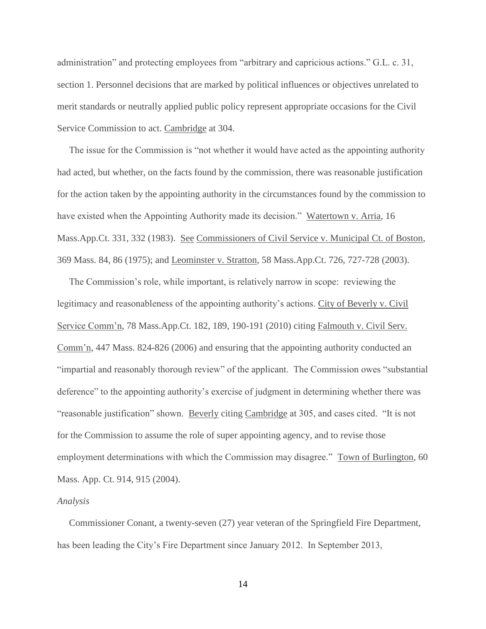administration" and protecting employees from "arbitrary and capricious actions." G.L. c. 31, section 1. Personnel decisions that are marked by political influences or objectives unrelated to merit standards or neutrally applied public policy represent appropriate occasions for the Civil Service Commission to act. Cambridge at 304.

 The issue for the Commission is "not whether it would have acted as the appointing authority had acted, but whether, on the facts found by the commission, there was reasonable justification for the action taken by the appointing authority in the circumstances found by the commission to have existed when the Appointing Authority made its decision." Watertown v. Arria, 16 Mass.App.Ct. 331, 332 (1983). See Commissioners of Civil Service v. Municipal Ct. of Boston, 369 Mass. 84, 86 (1975); and Leominster v. Stratton, 58 Mass.App.Ct. 726, 727-728 (2003).

 The Commission's role, while important, is relatively narrow in scope: reviewing the legitimacy and reasonableness of the appointing authority's actions. City of Beverly v. Civil Service Comm'n, 78 Mass.App.Ct. 182, 189, 190-191 (2010) citing Falmouth v. Civil Serv. Comm'n, 447 Mass. 824-826 (2006) and ensuring that the appointing authority conducted an "impartial and reasonably thorough review" of the applicant. The Commission owes "substantial deference" to the appointing authority's exercise of judgment in determining whether there was "reasonable justification" shown. Beverly citing Cambridge at 305, and cases cited. "It is not for the Commission to assume the role of super appointing agency, and to revise those employment determinations with which the Commission may disagree." Town of Burlington, 60 Mass. App. Ct. 914, 915 (2004).

#### *Analysis*

 Commissioner Conant, a twenty-seven (27) year veteran of the Springfield Fire Department, has been leading the City's Fire Department since January 2012. In September 2013,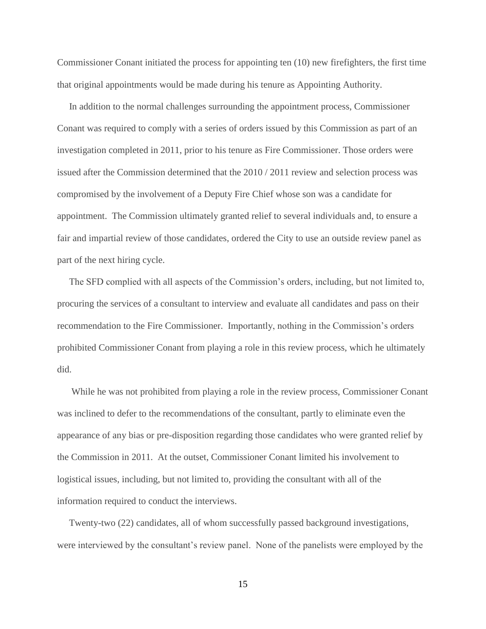Commissioner Conant initiated the process for appointing ten (10) new firefighters, the first time that original appointments would be made during his tenure as Appointing Authority.

 In addition to the normal challenges surrounding the appointment process, Commissioner Conant was required to comply with a series of orders issued by this Commission as part of an investigation completed in 2011, prior to his tenure as Fire Commissioner. Those orders were issued after the Commission determined that the 2010 / 2011 review and selection process was compromised by the involvement of a Deputy Fire Chief whose son was a candidate for appointment. The Commission ultimately granted relief to several individuals and, to ensure a fair and impartial review of those candidates, ordered the City to use an outside review panel as part of the next hiring cycle.

 The SFD complied with all aspects of the Commission's orders, including, but not limited to, procuring the services of a consultant to interview and evaluate all candidates and pass on their recommendation to the Fire Commissioner. Importantly, nothing in the Commission's orders prohibited Commissioner Conant from playing a role in this review process, which he ultimately did.

 While he was not prohibited from playing a role in the review process, Commissioner Conant was inclined to defer to the recommendations of the consultant, partly to eliminate even the appearance of any bias or pre-disposition regarding those candidates who were granted relief by the Commission in 2011. At the outset, Commissioner Conant limited his involvement to logistical issues, including, but not limited to, providing the consultant with all of the information required to conduct the interviews.

 Twenty-two (22) candidates, all of whom successfully passed background investigations, were interviewed by the consultant's review panel. None of the panelists were employed by the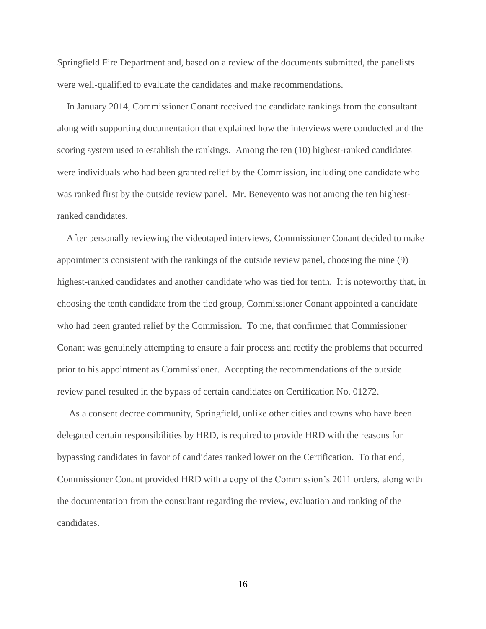Springfield Fire Department and, based on a review of the documents submitted, the panelists were well-qualified to evaluate the candidates and make recommendations.

 In January 2014, Commissioner Conant received the candidate rankings from the consultant along with supporting documentation that explained how the interviews were conducted and the scoring system used to establish the rankings. Among the ten (10) highest-ranked candidates were individuals who had been granted relief by the Commission, including one candidate who was ranked first by the outside review panel. Mr. Benevento was not among the ten highestranked candidates.

 After personally reviewing the videotaped interviews, Commissioner Conant decided to make appointments consistent with the rankings of the outside review panel, choosing the nine (9) highest-ranked candidates and another candidate who was tied for tenth. It is noteworthy that, in choosing the tenth candidate from the tied group, Commissioner Conant appointed a candidate who had been granted relief by the Commission. To me, that confirmed that Commissioner Conant was genuinely attempting to ensure a fair process and rectify the problems that occurred prior to his appointment as Commissioner. Accepting the recommendations of the outside review panel resulted in the bypass of certain candidates on Certification No. 01272.

 As a consent decree community, Springfield, unlike other cities and towns who have been delegated certain responsibilities by HRD, is required to provide HRD with the reasons for bypassing candidates in favor of candidates ranked lower on the Certification. To that end, Commissioner Conant provided HRD with a copy of the Commission's 2011 orders, along with the documentation from the consultant regarding the review, evaluation and ranking of the candidates.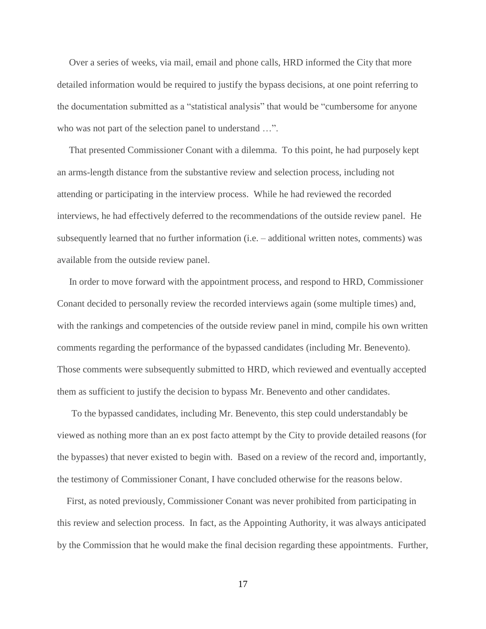Over a series of weeks, via mail, email and phone calls, HRD informed the City that more detailed information would be required to justify the bypass decisions, at one point referring to the documentation submitted as a "statistical analysis" that would be "cumbersome for anyone who was not part of the selection panel to understand ...".

 That presented Commissioner Conant with a dilemma. To this point, he had purposely kept an arms-length distance from the substantive review and selection process, including not attending or participating in the interview process. While he had reviewed the recorded interviews, he had effectively deferred to the recommendations of the outside review panel. He subsequently learned that no further information (i.e. – additional written notes, comments) was available from the outside review panel.

 In order to move forward with the appointment process, and respond to HRD, Commissioner Conant decided to personally review the recorded interviews again (some multiple times) and, with the rankings and competencies of the outside review panel in mind, compile his own written comments regarding the performance of the bypassed candidates (including Mr. Benevento). Those comments were subsequently submitted to HRD, which reviewed and eventually accepted them as sufficient to justify the decision to bypass Mr. Benevento and other candidates.

 To the bypassed candidates, including Mr. Benevento, this step could understandably be viewed as nothing more than an ex post facto attempt by the City to provide detailed reasons (for the bypasses) that never existed to begin with. Based on a review of the record and, importantly, the testimony of Commissioner Conant, I have concluded otherwise for the reasons below.

 First, as noted previously, Commissioner Conant was never prohibited from participating in this review and selection process. In fact, as the Appointing Authority, it was always anticipated by the Commission that he would make the final decision regarding these appointments. Further,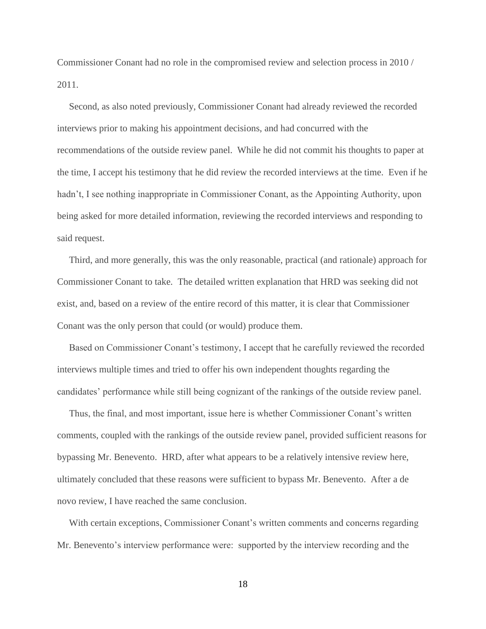Commissioner Conant had no role in the compromised review and selection process in 2010 / 2011.

 Second, as also noted previously, Commissioner Conant had already reviewed the recorded interviews prior to making his appointment decisions, and had concurred with the recommendations of the outside review panel. While he did not commit his thoughts to paper at the time, I accept his testimony that he did review the recorded interviews at the time. Even if he hadn't, I see nothing inappropriate in Commissioner Conant, as the Appointing Authority, upon being asked for more detailed information, reviewing the recorded interviews and responding to said request.

 Third, and more generally, this was the only reasonable, practical (and rationale) approach for Commissioner Conant to take. The detailed written explanation that HRD was seeking did not exist, and, based on a review of the entire record of this matter, it is clear that Commissioner Conant was the only person that could (or would) produce them.

 Based on Commissioner Conant's testimony, I accept that he carefully reviewed the recorded interviews multiple times and tried to offer his own independent thoughts regarding the candidates' performance while still being cognizant of the rankings of the outside review panel.

 Thus, the final, and most important, issue here is whether Commissioner Conant's written comments, coupled with the rankings of the outside review panel, provided sufficient reasons for bypassing Mr. Benevento. HRD, after what appears to be a relatively intensive review here, ultimately concluded that these reasons were sufficient to bypass Mr. Benevento. After a de novo review, I have reached the same conclusion.

 With certain exceptions, Commissioner Conant's written comments and concerns regarding Mr. Benevento's interview performance were: supported by the interview recording and the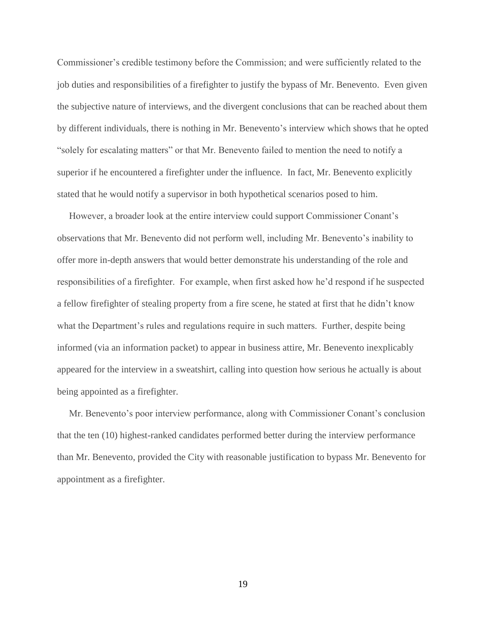Commissioner's credible testimony before the Commission; and were sufficiently related to the job duties and responsibilities of a firefighter to justify the bypass of Mr. Benevento. Even given the subjective nature of interviews, and the divergent conclusions that can be reached about them by different individuals, there is nothing in Mr. Benevento's interview which shows that he opted "solely for escalating matters" or that Mr. Benevento failed to mention the need to notify a superior if he encountered a firefighter under the influence. In fact, Mr. Benevento explicitly stated that he would notify a supervisor in both hypothetical scenarios posed to him.

 However, a broader look at the entire interview could support Commissioner Conant's observations that Mr. Benevento did not perform well, including Mr. Benevento's inability to offer more in-depth answers that would better demonstrate his understanding of the role and responsibilities of a firefighter. For example, when first asked how he'd respond if he suspected a fellow firefighter of stealing property from a fire scene, he stated at first that he didn't know what the Department's rules and regulations require in such matters. Further, despite being informed (via an information packet) to appear in business attire, Mr. Benevento inexplicably appeared for the interview in a sweatshirt, calling into question how serious he actually is about being appointed as a firefighter.

 Mr. Benevento's poor interview performance, along with Commissioner Conant's conclusion that the ten (10) highest-ranked candidates performed better during the interview performance than Mr. Benevento, provided the City with reasonable justification to bypass Mr. Benevento for appointment as a firefighter.